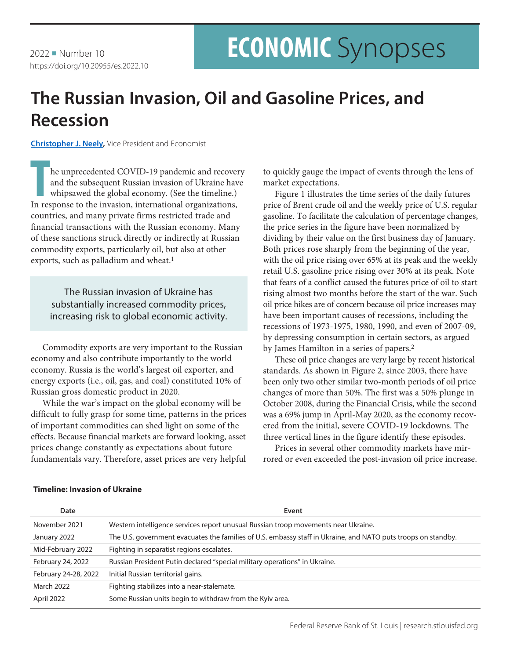# **ECONOMIC** Synopses

## **The Russian Invasion, Oil and Gasoline Prices, and Recession**

**[Christopher J. Neely,](https://research.stlouisfed.org/econ/cneely/sel/)** Vice President and Economist

**THE INTERNATION CONCONSTRANCE IN THE INTERNATIONAL ORIGINAL ORIGINAL ORIGINAL ORIGINAL TO THE INTERNATIONAL INTERNATIONAL INTERNATIONAL INTERNATIONAL INTERNATIONAL INTERNATIONAL INTERNATIONAL INTERNATIONAL INTERNATIONAL I** he unprecedented COVID-19 pandemic and recovery and the subsequent Russian invasion of Ukraine have whipsawed the global economy. (See the timeline.) countries, and many private firms restricted trade and financial transactions with the Russian economy. Many of these sanctions struck directly or indirectly at Russian commodity exports, particularly oil, but also at other exports, such as palladium and wheat.<sup>1</sup>

The Russian invasion of Ukraine has substantially increased commodity prices, increasing risk to global economic activity.

Commodity exports are very important to the Russian economy and also contribute importantly to the world economy. Russia is the world's largest oil exporter, and energy exports (i.e., oil, gas, and coal) constituted 10% of Russian gross domestic product in 2020.

While the war's impact on the global economy will be difficult to fully grasp for some time, patterns in the prices of important commodities can shed light on some of the effects. Because financial markets are forward looking, asset prices change constantly as expectations about future fundamentals vary. Therefore, asset prices are very helpful to quickly gauge the impact of events through the lens of market expectations.

Figure 1 illustrates the time series of the daily futures price of Brent crude oil and the weekly price of U.S. regular gasoline. To facilitate the calculation of percentage changes, the price series in the figure have been normalized by dividing by their value on the first business day of January. Both prices rose sharply from the beginning of the year, with the oil price rising over 65% at its peak and the weekly retail U.S. gasoline price rising over 30% at its peak. Note that fears of a conflict caused the futures price of oil to start rising almost two months before the start of the war. Such oil price hikes are of concern because oil price increases may have been important causes of recessions, including the recessions of 1973-1975, 1980, 1990, and even of 2007-09, by depressing consumption in certain sectors, as argued by James Hamilton in a series of papers.2

These oil price changes are very large by recent historical standards. As shown in Figure 2, since 2003, there have been only two other similar two-month periods of oil price changes of more than 50%. The first was a 50% plunge in October 2008, during the Financial Crisis, while the second was a 69% jump in April-May 2020, as the economy recovered from the initial, severe COVID-19 lockdowns. The three vertical lines in the figure identify these episodes.

Prices in several other commodity markets have mirrored or even exceeded the post-invasion oil price increase.

| Date                 | Event                                                                                                         |
|----------------------|---------------------------------------------------------------------------------------------------------------|
| November 2021        | Western intelligence services report unusual Russian troop movements near Ukraine.                            |
| January 2022         | The U.S. government evacuates the families of U.S. embassy staff in Ukraine, and NATO puts troops on standby. |
| Mid-February 2022    | Fighting in separatist regions escalates.                                                                     |
| February 24, 2022    | Russian President Putin declared "special military operations" in Ukraine.                                    |
| February 24-28, 2022 | Initial Russian territorial gains.                                                                            |
| <b>March 2022</b>    | Fighting stabilizes into a near-stalemate.                                                                    |
| April 2022           | Some Russian units begin to withdraw from the Kyiv area.                                                      |

### **Timeline: Invasion of Ukraine**